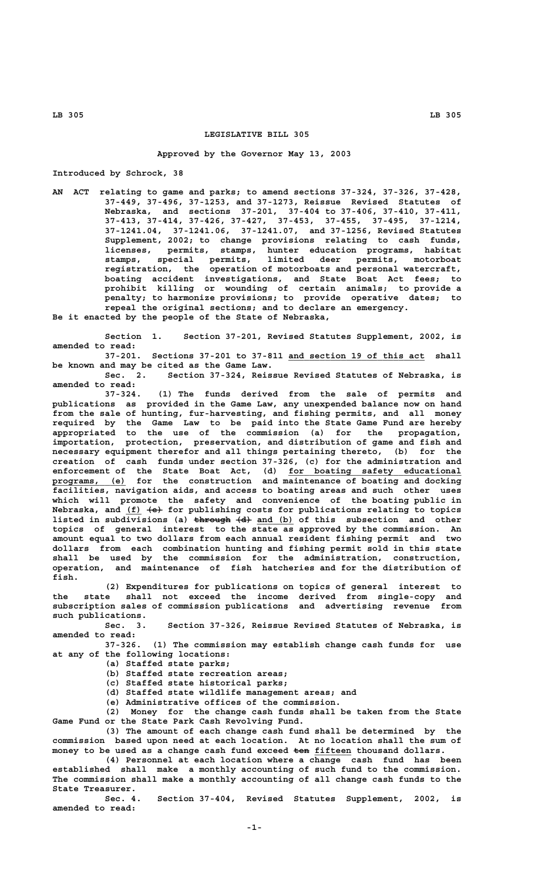## **LEGISLATIVE BILL 305**

## **Approved by the Governor May 13, 2003**

**Introduced by Schrock, 38**

**AN ACT relating to game and parks; to amend sections 37-324, 37-326, 37-428, 37-449, 37-496, 37-1253, and 37-1273, Reissue Revised Statutes of Nebraska, and sections 37-201, 37-404 to 37-406, 37-410, 37-411, 37-413, 37-414, 37-426, 37-427, 37-453, 37-455, 37-495, 37-1214, 37-1241.04, 37-1241.06, 37-1241.07, and 37-1256, Revised Statutes Supplement, 2002; to change provisions relating to cash funds, licenses, permits, stamps, hunter education programs, habitat stamps, special permits, limited deer permits, motorboat registration, the operation of motorboats and personal watercraft, boating accident investigations, and State Boat Act fees; to prohibit killing or wounding of certain animals; to provide a penalty; to harmonize provisions; to provide operative dates; to repeal the original sections; and to declare an emergency. Be it enacted by the people of the State of Nebraska,**

**Section 1. Section 37-201, Revised Statutes Supplement, 2002, is amended to read:**

**37-201. Sections 37-201 to 37-811 and section 19 of this act shall \_\_\_\_\_\_\_\_\_\_\_\_\_\_\_\_\_\_\_\_\_\_\_\_\_\_ be known and may be cited as the Game Law.**

**Sec. 2. Section 37-324, Reissue Revised Statutes of Nebraska, is amended to read:**

**37-324. (1) The funds derived from the sale of permits and publications as provided in the Game Law, any unexpended balance now on hand from the sale of hunting, fur-harvesting, and fishing permits, and all money required by the Game Law to be paid into the State Game Fund are hereby appropriated to the use of the commission (a) for the propagation, importation, protection, preservation, and distribution of game and fish and necessary equipment therefor and all things pertaining thereto, (b) for the creation of cash funds under section 37-326, (c) for the administration and enforcement of the State Boat Act, (d) for boating safety educational \_\_\_\_\_\_\_\_\_\_\_\_\_\_\_\_\_\_\_\_\_\_\_\_\_\_\_\_\_\_\_\_\_ \_\_\_\_\_\_\_\_\_\_\_\_\_\_ programs, (e) for the construction and maintenance of boating and docking facilities, navigation aids, and access to boating areas and such other uses which will promote the safety and convenience of the boating public in \_\_\_ ——— Nebraska, and (f) (e) for publishing costs for publications relating to topics** listed in subdivisions (a) through  $\{d\}$  and (b) of this subsection and other **topics of general interest to the state as approved by the commission. An amount equal to two dollars from each annual resident fishing permit and two dollars from each combination hunting and fishing permit sold in this state shall be used by the commission for the administration, construction, operation, and maintenance of fish hatcheries and for the distribution of fish.**

> **(2) Expenditures for publications on topics of general interest to the state shall not exceed the income derived from single-copy and subscription sales of commission publications and advertising revenue from such publications.**

> **Sec. 3. Section 37-326, Reissue Revised Statutes of Nebraska, is amended to read:**

> **37-326. (1) The commission may establish change cash funds for use at any of the following locations:**

- **(a) Staffed state parks;**
- **(b) Staffed state recreation areas;**
- **(c) Staffed state historical parks;**
- **(d) Staffed state wildlife management areas; and**
- **(e) Administrative offices of the commission.**

**(2) Money for the change cash funds shall be taken from the State Game Fund or the State Park Cash Revolving Fund.**

**(3) The amount of each change cash fund shall be determined by the commission based upon need at each location. At no location shall the sum of** money to be used as a change cash fund exceed ten fifteen thousand dollars.

**(4) Personnel at each location where a change cash fund has been established shall make a monthly accounting of such fund to the commission. The commission shall make a monthly accounting of all change cash funds to the State Treasurer.**

**Sec. 4. Section 37-404, Revised Statutes Supplement, 2002, is amended to read:**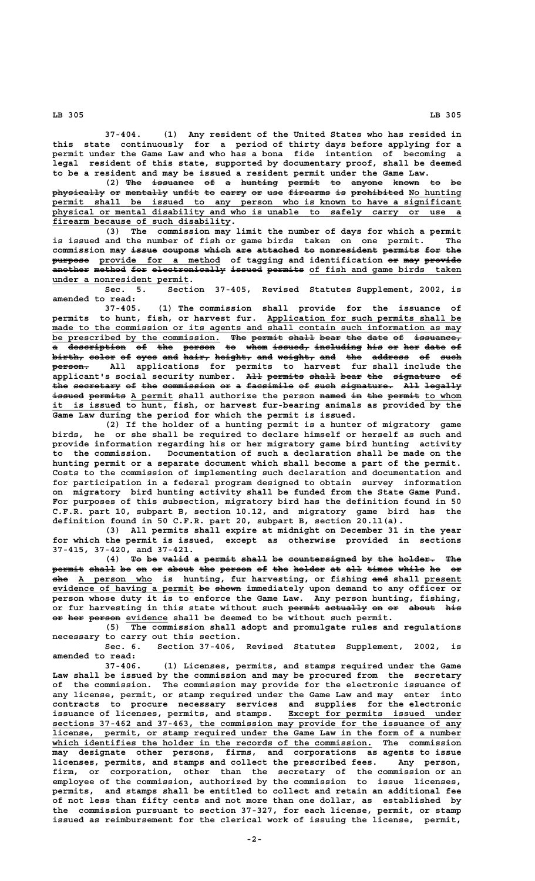**37-404. (1) Any resident of the United States who has resided in this state continuously for a period of thirty days before applying for a permit under the Game Law and who has a bona fide intention of becoming a legal resident of this state, supported by documentary proof, shall be deemed to be a resident and may be issued a resident permit under the Game Law.**

(2) The issuance of a hunting permit to anyone known to be **physically or mentally unfit to carry or use firearms is prohibited No hunting —————————— —— ———————— ————— —— ————— —— ——— ———————— —— —————————— \_\_\_\_\_\_\_\_\_\_ \_\_\_\_\_\_\_\_\_\_\_\_\_\_\_\_\_\_\_\_\_\_\_\_\_\_\_\_\_\_\_\_\_\_\_\_\_\_\_\_\_\_\_\_\_\_\_\_\_\_\_\_\_\_\_\_\_\_\_\_\_\_\_\_\_\_\_\_\_\_\_\_\_\_\_\_\_\_ permit shall be issued to any person who is known to have a significant \_\_\_\_\_\_\_\_\_\_\_\_\_\_\_\_\_\_\_\_\_\_\_\_\_\_\_\_\_\_\_\_\_\_\_\_\_\_\_\_\_\_\_\_\_\_\_\_\_\_\_\_\_\_\_\_\_\_\_\_\_\_\_\_\_\_\_\_\_\_\_\_\_\_\_\_\_\_ physical or mental disability and who is unable to safely carry or use a \_\_\_\_\_\_\_\_\_\_\_\_\_\_\_\_\_\_\_\_\_\_\_\_\_\_\_\_\_\_\_\_\_\_ firearm because of such disability.**

**(3) The commission may limit the number of days for which a permit** is issued and the number of fish or game birds taken on one permit. commission may issue coupons which are attached to nonresident permits for the **purpose provide for a method of tagging and identification or may provide ——————— \_\_\_\_\_\_\_\_\_\_\_\_\_\_\_\_\_\_\_\_\_\_\_ —— ——— ——————** another method for electronically issued permits of fish and game birds taken  **\_\_\_\_\_\_\_\_\_\_\_\_\_\_\_\_\_\_\_\_\_\_\_\_\_\_ under a nonresident permit.**

**Sec. 5. Section 37-405, Revised Statutes Supplement, 2002, is amended to read:**

**37-405. (1) The commission shall provide for the issuance of** permits to hunt, fish, or harvest fur. Application for such permits shall be made to the commission or its agents and shall contain such information as may be prescribed by the commission. <del>The permit shall bear the date of issuance,</del> a <del>description</del> <del>of the person to whom issued, including his or her date of</del> **birth, color of eyes and hair, height, and weight, and the address of such —————— ————— —— ———— ——— ————— ——————— ——— ——————— ——— ——— ——————— —— ———— ——————— person. All applications for permits to harvest fur shall include the applicant's social security number. All permits shall bear the signature of ——— ——————— ————— ———— ——— ————————— — the secretary of the commission or a facsimile of such signature. All legally ——— ————————— —— ——— —————————— —— — ————————— —— ———— —————————— ——— ——————** issued permits A permit shall authorize the person named in the permit to whom it is issued to hunt, fish, or harvest fur-bearing animals as provided by the **Game Law during the period for which the permit is issued.**

**(2) If the holder of a hunting permit is a hunter of migratory game birds, he or she shall be required to declare himself or herself as such and provide information regarding his or her migratory game bird hunting activity to the commission. Documentation of such a declaration shall be made on the hunting permit or a separate document which shall become a part of the permit. Costs to the commission of implementing such declaration and documentation and for participation in a federal program designed to obtain survey information on migratory bird hunting activity shall be funded from the State Game Fund. For purposes of this subsection, migratory bird has the definition found in 50 C.F.R. part 10, subpart B, section 10.12, and migratory game bird has the definition found in 50 C.F.R. part 20, subpart B, section 20.11(a).**

**(3) All permits shall expire at midnight on December 31 in the year for which the permit is issued, except as otherwise provided in sections 37-415, 37-420, and 37-421.**

(4) To be valid a permit shall be countersigned by the holder. The permit shall be on or about the person of the holder at all times while he or  **——— \_\_\_\_\_\_\_\_\_\_\_\_\_\_ ——— \_\_\_\_\_\_\_ she A person who is hunting, fur harvesting, or fishing and shall present evidence of having a permit be shown immediately upon demand to any officer or \_\_\_\_\_\_\_\_\_\_\_\_\_\_\_\_\_\_\_\_\_\_\_\_\_\_\_ —— ———— person whose duty it is to enforce the Game Law. Any person hunting, fishing,** or fur harvesting in this state without such permit actually on or about his **or her person evidence** shall be deemed to be without such permit.

**(5) The commission shall adopt and promulgate rules and regulations necessary to carry out this section.**

**Sec. 6. Section 37-406, Revised Statutes Supplement, 2002, is amended to read:**

**37-406. (1) Licenses, permits, and stamps required under the Game Law shall be issued by the commission and may be procured from the secretary of the commission. The commission may provide for the electronic issuance of any license, permit, or stamp required under the Game Law and may enter into contracts to procure necessary services and supplies for the electronic** issuance of licenses, permits, and stamps. Except for permits issued under  **\_\_\_\_\_\_\_\_\_\_\_\_\_\_\_\_\_\_\_\_\_\_\_\_\_\_\_\_\_\_\_\_\_\_\_\_\_\_\_\_\_\_\_\_\_\_\_\_\_\_\_\_\_\_\_\_\_\_\_\_\_\_\_\_\_\_\_\_\_\_\_\_\_\_\_\_\_\_ sections 37-462 and 37-463, the commission may provide for the issuance of any \_\_\_\_\_\_\_\_\_\_\_\_\_\_\_\_\_\_\_\_\_\_\_\_\_\_\_\_\_\_\_\_\_\_\_\_\_\_\_\_\_\_\_\_\_\_\_\_\_\_\_\_\_\_\_\_\_\_\_\_\_\_\_\_\_\_\_\_\_\_\_\_\_\_\_\_\_\_ license, permit, or stamp required under the Game Law in the form of a number \_\_\_\_\_\_\_\_\_\_\_\_\_\_\_\_\_\_\_\_\_\_\_\_\_\_\_\_\_\_\_\_\_\_\_\_\_\_\_\_\_\_\_\_\_\_\_\_\_\_\_\_\_\_\_\_\_\_\_\_\_ which identifies the holder in the records of the commission. The commission may designate other persons, firms, and corporations as agents to issue licenses, permits, and stamps and collect the prescribed fees. Any person, firm, or corporation, other than the secretary of the commission or an employee of the commission, authorized by the commission to issue licenses, permits, and stamps shall be entitled to collect and retain an additional fee of not less than fifty cents and not more than one dollar, as established by the commission pursuant to section 37-327, for each license, permit, or stamp issued as reimbursement for the clerical work of issuing the license, permit,**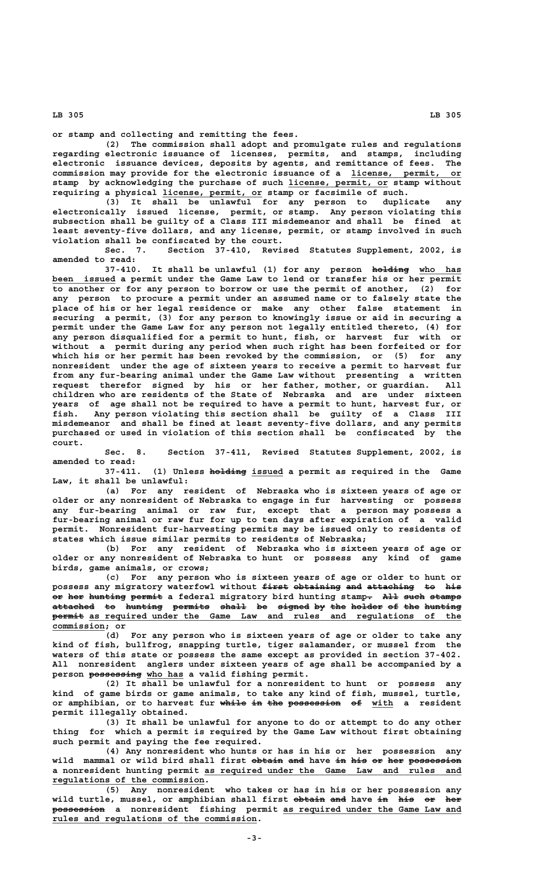**or stamp and collecting and remitting the fees.**

**(2) The commission shall adopt and promulgate rules and regulations regarding electronic issuance of licenses, permits, and stamps, including electronic issuance devices, deposits by agents, and remittance of fees. The commission may provide for the electronic issuance of a license, permit, or \_\_\_\_\_\_\_\_\_\_\_\_\_\_\_\_\_\_\_\_\_** stamp by acknowledging the purchase of such license, permit, or stamp without  **\_\_\_\_\_\_\_\_\_\_\_\_\_\_\_\_\_\_\_ requiring a physical license, permit, or stamp or facsimile of such.**

**(3) It shall be unlawful for any person to duplicate any electronically issued license, permit, or stamp. Any person violating this subsection shall be guilty of a Class III misdemeanor and shall be fined at least seventy-five dollars, and any license, permit, or stamp involved in such violation shall be confiscated by the court.**

**Sec. 7. Section 37-410, Revised Statutes Supplement, 2002, is amended to read:**

37-410. It shall be unlawful (1) for any person holding who has been issued a permit under the Game Law to lend or transfer his or her permit **to another or for any person to borrow or use the permit of another, (2) for any person to procure a permit under an assumed name or to falsely state the place of his or her legal residence or make any other false statement in securing a permit, (3) for any person to knowingly issue or aid in securing a permit under the Game Law for any person not legally entitled thereto, (4) for any person disqualified for a permit to hunt, fish, or harvest fur with or without a permit during any period when such right has been forfeited or for which his or her permit has been revoked by the commission, or (5) for any nonresident under the age of sixteen years to receive a permit to harvest fur from any fur-bearing animal under the Game Law without presenting a written request therefor signed by his or her father, mother, or guardian. All children who are residents of the State of Nebraska and are under sixteen years of age shall not be required to have a permit to hunt, harvest fur, or fish. Any person violating this section shall be guilty of a Class III misdemeanor and shall be fined at least seventy-five dollars, and any permits purchased or used in violation of this section shall be confiscated by the court.**

**Sec. 8. Section 37-411, Revised Statutes Supplement, 2002, is amended to read:**

(1) Unless holding issued a permit as required in the Game **Law, it shall be unlawful:**

**(a) For any resident of Nebraska who is sixteen years of age or older or any nonresident of Nebraska to engage in fur harvesting or possess any fur-bearing animal or raw fur, except that a person may possess a fur-bearing animal or raw fur for up to ten days after expiration of a valid permit. Nonresident fur-harvesting permits may be issued only to residents of states which issue similar permits to residents of Nebraska;**

**(b) For any resident of Nebraska who is sixteen years of age or older or any nonresident of Nebraska to hunt or possess any kind of game birds, game animals, or crows;**

**(c) For any person who is sixteen years of age or older to hunt or** possess any migratory waterfowl without <del>first obtaining and attaching to his</del> or her hunting permit a federal migratory bird hunting stamp<del>.</del> All such stamps attached to hunting permits shall be signed by the holder of the hunting  $p$ ermit as required under the Game Law and rules and regulations of the  **commission; or \_\_\_\_\_\_\_\_\_\_**

**(d) For any person who is sixteen years of age or older to take any kind of fish, bullfrog, snapping turtle, tiger salamander, or mussel from the waters of this state or possess the same except as provided in section 37-402. All nonresident anglers under sixteen years of age shall be accompanied by a** person possessing who has a valid fishing permit.

**(2) It shall be unlawful for a nonresident to hunt or possess any kind of game birds or game animals, to take any kind of fish, mussel, turtle, or amphibian, or to harvest fur while in the possession of with a resident permit illegally obtained.**

**(3) It shall be unlawful for anyone to do or attempt to do any other thing for which a permit is required by the Game Law without first obtaining such permit and paying the fee required.**

**(4) Any nonresident who hunts or has in his or her possession any** wild mammal or wild bird shall first obtain and have in his or her possession  **\_\_\_\_\_\_\_\_\_\_\_\_\_\_\_\_\_\_\_\_\_\_\_\_\_\_\_\_\_\_\_\_\_\_\_\_\_\_\_\_\_\_\_\_\_\_\_\_\_ a nonresident hunting permit as required under the Game Law and rules and \_\_\_\_\_\_\_\_\_\_\_\_\_\_\_\_\_\_\_\_\_\_\_\_\_\_\_\_\_ regulations of the commission.**

**(5) Any nonresident who takes or has in his or her possession any** wild turtle, mussel, or amphibian shall first obtain and have in his or her  **<b>possession** a nonresident fishing permit as required under the Game Law and  **\_\_\_\_\_\_\_\_\_\_\_\_\_\_\_\_\_\_\_\_\_\_\_\_\_\_\_\_\_\_\_\_\_\_\_\_\_\_\_ rules and regulations of the commission.**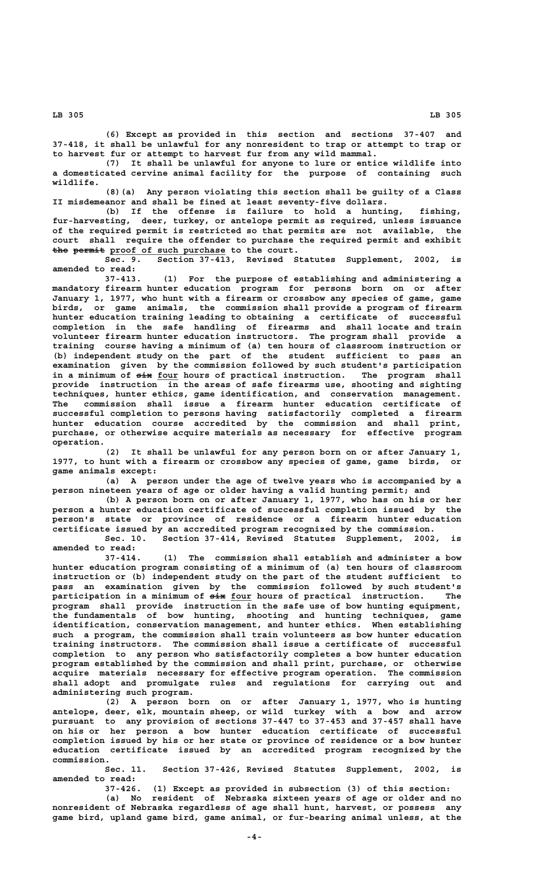**(6) Except as provided in this section and sections 37-407 and 37-418, it shall be unlawful for any nonresident to trap or attempt to trap or to harvest fur or attempt to harvest fur from any wild mammal.**

**(7) It shall be unlawful for anyone to lure or entice wildlife into a domesticated cervine animal facility for the purpose of containing such wildlife.**

**(8)(a) Any person violating this section shall be guilty of a Class II misdemeanor and shall be fined at least seventy-five dollars.**

**(b) If the offense is failure to hold a hunting, fishing, fur-harvesting, deer, turkey, or antelope permit as required, unless issuance of the required permit is restricted so that permits are not available, the court shall require the offender to purchase the required permit and exhibit** the permit proof of such purchase to the court.

**Sec. 9. Section 37-413, Revised Statutes Supplement, 2002, is amended to read:**

**37-413. (1) For the purpose of establishing and administering a mandatory firearm hunter education program for persons born on or after January 1, 1977, who hunt with a firearm or crossbow any species of game, game birds, or game animals, the commission shall provide a program of firearm hunter education training leading to obtaining a certificate of successful completion in the safe handling of firearms and shall locate and train volunteer firearm hunter education instructors. The program shall provide a training course having a minimum of (a) ten hours of classroom instruction or (b) independent study on the part of the student sufficient to pass an examination given by the commission followed by such student's participation** in a minimum of  $\frac{1}{x}$  four hours of practical instruction. The program shall **provide instruction in the areas of safe firearms use, shooting and sighting techniques, hunter ethics, game identification, and conservation management. The commission shall issue a firearm hunter education certificate of successful completion to persons having satisfactorily completed a firearm hunter education course accredited by the commission and shall print, purchase, or otherwise acquire materials as necessary for effective program operation.**

**(2) It shall be unlawful for any person born on or after January 1, 1977, to hunt with a firearm or crossbow any species of game, game birds, or game animals except:**

**(a) A person under the age of twelve years who is accompanied by a person nineteen years of age or older having a valid hunting permit; and**

**(b) A person born on or after January 1, 1977, who has on his or her person a hunter education certificate of successful completion issued by the person's state or province of residence or a firearm hunter education certificate issued by an accredited program recognized by the commission. Sec. 10. Section 37-414, Revised Statutes Supplement, 2002, is**

**amended to read:**

**37-414. (1) The commission shall establish and administer a bow hunter education program consisting of a minimum of (a) ten hours of classroom instruction or (b) independent study on the part of the student sufficient to pass an examination given by the commission followed by such student's ——— \_\_\_\_ participation in a minimum of six four hours of practical instruction. The program shall provide instruction in the safe use of bow hunting equipment, the fundamentals of bow hunting, shooting and hunting techniques, game identification, conservation management, and hunter ethics. When establishing such a program, the commission shall train volunteers as bow hunter education training instructors. The commission shall issue a certificate of successful completion to any person who satisfactorily completes a bow hunter education program established by the commission and shall print, purchase, or otherwise acquire materials necessary for effective program operation. The commission shall adopt and promulgate rules and regulations for carrying out and administering such program.**

**(2) A person born on or after January 1, 1977, who is hunting antelope, deer, elk, mountain sheep, or wild turkey with a bow and arrow pursuant to any provision of sections 37-447 to 37-453 and 37-457 shall have on his or her person a bow hunter education certificate of successful completion issued by his or her state or province of residence or a bow hunter education certificate issued by an accredited program recognized by the commission.**

**Sec. 11. Section 37-426, Revised Statutes Supplement, 2002, is amended to read:**

**37-426. (1) Except as provided in subsection (3) of this section:**

**(a) No resident of Nebraska sixteen years of age or older and no nonresident of Nebraska regardless of age shall hunt, harvest, or possess any game bird, upland game bird, game animal, or fur-bearing animal unless, at the**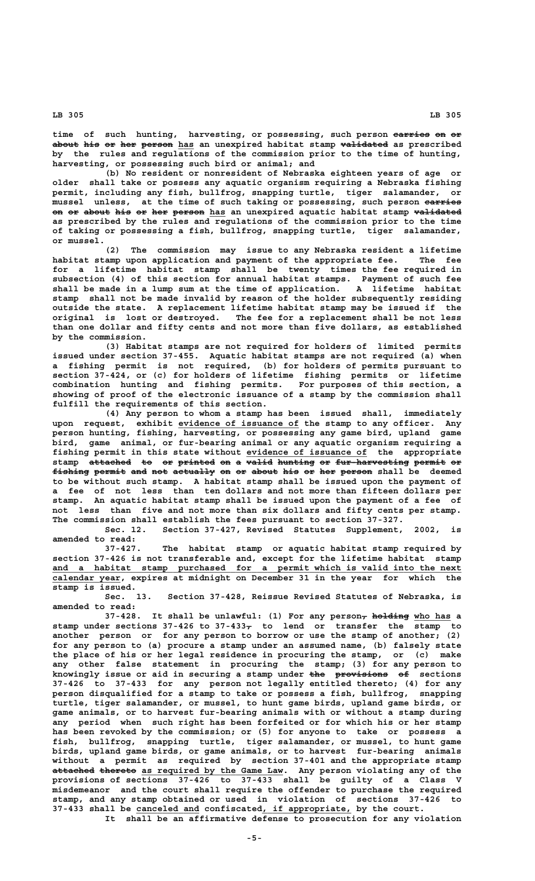time of such hunting, harvesting, or possessing, such person earries on or about his or her person has an unexpired habitat stamp validated as prescribed **by the rules and regulations of the commission prior to the time of hunting, harvesting, or possessing such bird or animal; and**

**(b) No resident or nonresident of Nebraska eighteen years of age or older shall take or possess any aquatic organism requiring a Nebraska fishing permit, including any fish, bullfrog, snapping turtle, tiger salamander, or mussel unless, at the time of such taking or possessing, such person carries ——————** on or about his or her person has an unexpired aquatic habitat stamp validated **as prescribed by the rules and regulations of the commission prior to the time of taking or possessing a fish, bullfrog, snapping turtle, tiger salamander, or mussel.**

**(2) The commission may issue to any Nebraska resident a lifetime habitat stamp upon application and payment of the appropriate fee. The fee for a lifetime habitat stamp shall be twenty times the fee required in subsection (4) of this section for annual habitat stamps. Payment of such fee shall be made in a lump sum at the time of application. A lifetime habitat stamp shall not be made invalid by reason of the holder subsequently residing outside the state. A replacement lifetime habitat stamp may be issued if the original is lost or destroyed. The fee for a replacement shall be not less than one dollar and fifty cents and not more than five dollars, as established by the commission.**

**(3) Habitat stamps are not required for holders of limited permits issued under section 37-455. Aquatic habitat stamps are not required (a) when a fishing permit is not required, (b) for holders of permits pursuant to section 37-424, or (c) for holders of lifetime fishing permits or lifetime combination hunting and fishing permits. For purposes of this section, a showing of proof of the electronic issuance of a stamp by the commission shall fulfill the requirements of this section.**

**(4) Any person to whom a stamp has been issued shall, immediately \_\_\_\_\_\_\_\_\_\_\_\_\_\_\_\_\_\_\_\_\_\_\_ upon request, exhibit evidence of issuance of the stamp to any officer. Any person hunting, fishing, harvesting, or possessing any game bird, upland game bird, game animal, or fur-bearing animal or any aquatic organism requiring a** fishing permit in this state without evidence of issuance of the appropriate stamp attached to or printed on a valid hunting or fur-harvesting permit or fishing permit and not actually on or about his or her person shall be deemed **to be without such stamp. A habitat stamp shall be issued upon the payment of a fee of not less than ten dollars and not more than fifteen dollars per stamp. An aquatic habitat stamp shall be issued upon the payment of a fee of not less than five and not more than six dollars and fifty cents per stamp. The commission shall establish the fees pursuant to section 37-327.**

**Sec. 12. Section 37-427, Revised Statutes Supplement, 2002, is amended to read:**

**37-427. The habitat stamp or aquatic habitat stamp required by section 37-426 is not transferable and, except for the lifetime habitat stamp \_\_\_\_\_\_\_\_\_\_\_\_\_\_\_\_\_\_\_\_\_\_\_\_\_\_\_\_\_\_\_\_\_\_\_\_\_\_\_\_\_\_\_\_\_\_\_\_\_\_\_\_\_\_\_\_\_\_\_\_\_\_\_\_\_\_\_\_\_\_\_\_\_\_\_\_\_\_ and a habitat stamp purchased for a permit which is valid into the next \_\_\_\_\_\_\_\_\_\_\_\_\_ calendar year, expires at midnight on December 31 in the year for which the stamp is issued.**

**Sec. 13. Section 37-428, Reissue Revised Statutes of Nebraska, is amended to read:**

37-428. It shall be unlawful: (1) For any person<sub> $\tau$ </sub> holding who has a  **— stamp under sections 37-426 to 37-433, to lend or transfer the stamp to another person or for any person to borrow or use the stamp of another; (2) for any person to (a) procure a stamp under an assumed name, (b) falsely state the place of his or her legal residence in procuring the stamp, or (c) make any other false statement in procuring the stamp; (3) for any person to** knowingly issue or aid in securing a stamp under <del>the provisions of</del> sections **37-426 to 37-433 for any person not legally entitled thereto; (4) for any person disqualified for a stamp to take or possess a fish, bullfrog, snapping turtle, tiger salamander, or mussel, to hunt game birds, upland game birds, or game animals, or to harvest fur-bearing animals with or without a stamp during any period when such right has been forfeited or for which his or her stamp has been revoked by the commission; or (5) for anyone to take or possess a fish, bullfrog, snapping turtle, tiger salamander, or mussel, to hunt game birds, upland game birds, or game animals, or to harvest fur-bearing animals without a permit as required by section 37-401 and the appropriate stamp attached thereto as required by the Game Law. Any person violating any of the ———————— ——————— \_\_\_\_\_\_\_\_\_\_\_\_\_\_\_\_\_\_\_\_\_\_\_\_\_\_\_ provisions of sections 37-426 to 37-433 shall be guilty of a Class V misdemeanor and the court shall require the offender to purchase the required stamp, and any stamp obtained or used in violation of sections 37-426 to \_\_\_\_\_\_\_\_\_\_\_\_ \_\_\_\_\_\_\_\_\_\_\_\_\_\_\_\_\_ 37-433 shall be canceled and confiscated, if appropriate, by the court.**

**It shall be an affirmative defense to prosecution for any violation**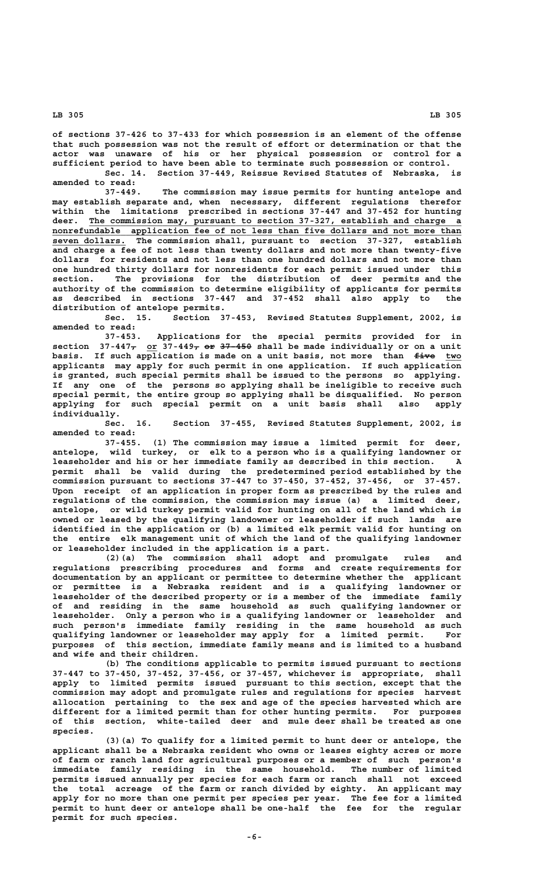**of sections 37-426 to 37-433 for which possession is an element of the offense that such possession was not the result of effort or determination or that the actor was unaware of his or her physical possession or control for a sufficient period to have been able to terminate such possession or control.** Sec. 14. Section 37-449, Reissue Revised Statutes of Nebraska,

**amended to read:**

**37-449. The commission may issue permits for hunting antelope and may establish separate and, when necessary, different regulations therefor within the limitations prescribed in sections 37-447 and 37-452 for hunting \_\_\_\_\_\_\_\_\_\_\_\_\_\_\_\_\_\_\_\_\_\_\_\_\_\_\_\_\_\_\_\_\_\_\_\_\_\_\_\_\_\_\_\_\_\_\_\_\_\_\_\_\_\_\_\_\_\_\_\_\_\_\_\_\_\_\_\_\_\_\_ deer. The commission may, pursuant to section 37-327, establish and charge a**  $nonrefundable application fee of not less than five dollars and not more than$  **\_\_\_\_\_\_\_\_\_\_\_\_\_\_ seven dollars. The commission shall, pursuant to section 37-327, establish and charge a fee of not less than twenty dollars and not more than twenty-five dollars for residents and not less than one hundred dollars and not more than one hundred thirty dollars for nonresidents for each permit issued under this section. The provisions for the distribution of deer permits and the authority of the commission to determine eligibility of applicants for permits as described in sections 37-447 and 37-452 shall also apply to the distribution of antelope permits.**

**Sec. 15. Section 37-453, Revised Statutes Supplement, 2002, is amended to read:**

**37-453. Applications for the special permits provided for in** section  $37-447$  or  $37-449$   $\rightarrow$   $97-450$  shall be made individually or on a unit basis. If such application is made on a unit basis, not more than  $f$ **ive** two **applicants may apply for such permit in one application. If such application is granted, such special permits shall be issued to the persons so applying. If any one of the persons so applying shall be ineligible to receive such special permit, the entire group so applying shall be disqualified. No person applying for such special permit on a unit basis shall also apply individually.**

**Sec. 16. Section 37-455, Revised Statutes Supplement, 2002, is amended to read:**

**37-455. (1) The commission may issue a limited permit for deer, antelope, wild turkey, or elk to a person who is a qualifying landowner or leaseholder and his or her immediate family as described in this section. A permit shall be valid during the predetermined period established by the commission pursuant to sections 37-447 to 37-450, 37-452, 37-456, or 37-457. Upon receipt of an application in proper form as prescribed by the rules and regulations of the commission, the commission may issue (a) a limited deer, antelope, or wild turkey permit valid for hunting on all of the land which is owned or leased by the qualifying landowner or leaseholder if such lands are identified in the application or (b) a limited elk permit valid for hunting on the entire elk management unit of which the land of the qualifying landowner or leaseholder included in the application is a part.**

**(2)(a) The commission shall adopt and promulgate rules and regulations prescribing procedures and forms and create requirements for documentation by an applicant or permittee to determine whether the applicant or permittee is a Nebraska resident and is a qualifying landowner or leaseholder of the described property or is a member of the immediate family of and residing in the same household as such qualifying landowner or leaseholder. Only a person who is a qualifying landowner or leaseholder and such person's immediate family residing in the same household as such qualifying landowner or leaseholder may apply for a limited permit. For purposes of this section, immediate family means and is limited to a husband and wife and their children.**

**(b) The conditions applicable to permits issued pursuant to sections 37-447 to 37-450, 37-452, 37-456, or 37-457, whichever is appropriate, shall apply to limited permits issued pursuant to this section, except that the commission may adopt and promulgate rules and regulations for species harvest allocation pertaining to the sex and age of the species harvested which are different for a limited permit than for other hunting permits. For purposes of this section, white-tailed deer and mule deer shall be treated as one species.**

**(3)(a) To qualify for a limited permit to hunt deer or antelope, the applicant shall be a Nebraska resident who owns or leases eighty acres or more of farm or ranch land for agricultural purposes or a member of such person's immediate family residing in the same household. The number of limited permits issued annually per species for each farm or ranch shall not exceed the total acreage of the farm or ranch divided by eighty. An applicant may apply for no more than one permit per species per year. The fee for a limited permit to hunt deer or antelope shall be one-half the fee for the regular permit for such species.**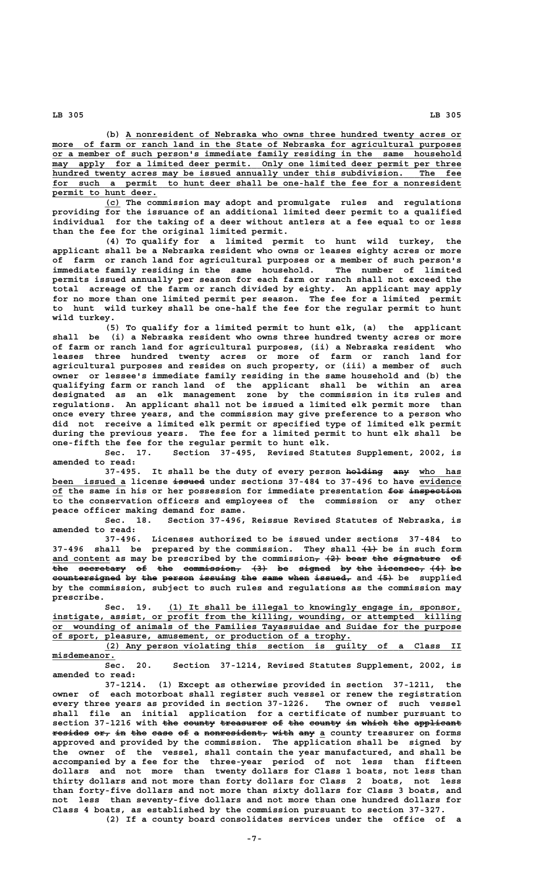**\_\_\_\_\_\_\_\_\_\_\_\_\_\_\_\_\_\_\_\_\_\_\_\_\_\_\_\_\_\_\_\_\_\_\_\_\_\_\_\_\_\_\_\_\_\_\_\_\_\_\_\_\_\_\_\_\_\_\_\_\_\_\_\_ (b) A nonresident of Nebraska who owns three hundred twenty acres or** more of farm or ranch land in the State of Nebraska for agricultural purposes  **\_\_\_\_\_\_\_\_\_\_\_\_\_\_\_\_\_\_\_\_\_\_\_\_\_\_\_\_\_\_\_\_\_\_\_\_\_\_\_\_\_\_\_\_\_\_\_\_\_\_\_\_\_\_\_\_\_\_\_\_\_\_\_\_\_\_\_\_\_\_\_\_\_\_\_\_\_\_ or a member of such person's immediate family residing in the same household**  $may$  apply for a limited deer permit. Only one limited deer permit per three hundred twenty acres may be issued annually under this subdivision. The fee for such a permit to hunt deer shall be one-half the fee for a nonresident  **\_\_\_\_\_\_\_\_\_\_\_\_\_\_\_\_\_\_\_\_ permit to hunt deer.**

 **\_\_\_ (c) The commission may adopt and promulgate rules and regulations providing for the issuance of an additional limited deer permit to a qualified individual for the taking of a deer without antlers at a fee equal to or less than the fee for the original limited permit.**

**(4) To qualify for a limited permit to hunt wild turkey, the applicant shall be a Nebraska resident who owns or leases eighty acres or more of farm or ranch land for agricultural purposes or a member of such person's immediate family residing in the same household. The number of limited permits issued annually per season for each farm or ranch shall not exceed the total acreage of the farm or ranch divided by eighty. An applicant may apply for no more than one limited permit per season. The fee for a limited permit to hunt wild turkey shall be one-half the fee for the regular permit to hunt wild turkey.**

**(5) To qualify for a limited permit to hunt elk, (a) the applicant shall be (i) a Nebraska resident who owns three hundred twenty acres or more of farm or ranch land for agricultural purposes, (ii) a Nebraska resident who leases three hundred twenty acres or more of farm or ranch land for agricultural purposes and resides on such property, or (iii) a member of such owner or lessee's immediate family residing in the same household and (b) the qualifying farm or ranch land of the applicant shall be within an area designated as an elk management zone by the commission in its rules and regulations. An applicant shall not be issued a limited elk permit more than once every three years, and the commission may give preference to a person who did not receive a limited elk permit or specified type of limited elk permit during the previous years. The fee for a limited permit to hunt elk shall be one-fifth the fee for the regular permit to hunt elk.**

**Sec. 17. Section 37-495, Revised Statutes Supplement, 2002, is amended to read:**

37-495. It shall be the duty of every person holding any who has  **\_\_\_\_\_\_\_\_\_\_\_\_\_\_ —————— \_\_\_\_\_\_\_\_ been issued a license issued under sections 37-484 to 37-496 to have evidence**  $\overline{of}$  the same in his or her possession for immediate presentation for inspection **to the conservation officers and employees of the commission or any other peace officer making demand for same.**

**Sec. 18. Section 37-496, Reissue Revised Statutes of Nebraska, is amended to read:**

**37-496. Licenses authorized to be issued under sections 37-484 to 37-496 shall be prepared by the commission. They shall (1) be in such form ——** and content as may be prescribed by the commission<del>, (2) bear the signature</del> of **the secretary of the commission, (3) be signed by the licensee, (4) be ——— ————————— —— ——— ——————————— ——— —— —————— —— ——— ————————— ——— —** countersigned by the person issuing the same when issued, and  $\{5\}$  be supplied **by the commission, subject to such rules and regulations as the commission may prescribe.**

 **\_\_\_\_\_\_\_\_\_\_\_\_\_\_\_\_\_\_\_\_\_\_\_\_\_\_\_\_\_\_\_\_\_\_\_\_\_\_\_\_\_\_\_\_\_\_\_\_\_\_\_\_\_\_\_\_ Sec. 19. (1) It shall be illegal to knowingly engage in, sponsor, \_\_\_\_\_\_\_\_\_\_\_\_\_\_\_\_\_\_\_\_\_\_\_\_\_\_\_\_\_\_\_\_\_\_\_\_\_\_\_\_\_\_\_\_\_\_\_\_\_\_\_\_\_\_\_\_\_\_\_\_\_\_\_\_\_\_\_\_\_\_\_\_\_\_\_\_\_\_ instigate, assist, or profit from the killing, wounding, or attempted killing \_\_\_\_\_\_\_\_\_\_\_\_\_\_\_\_\_\_\_\_\_\_\_\_\_\_\_\_\_\_\_\_\_\_\_\_\_\_\_\_\_\_\_\_\_\_\_\_\_\_\_\_\_\_\_\_\_\_\_\_\_\_\_\_\_\_\_\_\_\_\_\_\_\_\_\_\_\_ or wounding of animals of the Families Tayassuidae and Suidae for the purpose** of sport, pleasure, amusement, or production of a trophy.<br>(2) Any person violating this section is guilty

 **\_\_\_\_\_\_\_\_\_\_\_\_\_\_\_\_\_\_\_\_\_\_\_\_\_\_\_\_\_\_\_\_\_\_\_\_\_\_\_\_\_\_\_\_\_\_\_\_\_\_\_\_\_\_\_\_\_\_\_\_\_\_\_\_\_\_\_\_ (2) Any person violating this section is guilty of a Class II misdemeanor. \_\_\_\_\_\_\_\_\_\_\_\_**

**Sec. 20. Section 37-1214, Revised Statutes Supplement, 2002, is amended to read:**

**37-1214. (1) Except as otherwise provided in section 37-1211, the owner of each motorboat shall register such vessel or renew the registration every three years as provided in section 37-1226. The owner of such vessel shall file an initial application for a certificate of number pursuant to** section 37-1216 with the county treasurer of the county in which the applicant  $\frac{1}{2}$   $\frac{1}{2}$   $\frac{1}{2}$   $\frac{1}{2}$   $\frac{1}{2}$   $\frac{1}{2}$   $\frac{1}{2}$   $\frac{1}{2}$   $\frac{1}{2}$   $\frac{1}{2}$   $\frac{1}{2}$   $\frac{1}{2}$   $\frac{1}{2}$   $\frac{1}{2}$   $\frac{1}{2}$   $\frac{1}{2}$   $\frac{1}{2}$   $\frac{1}{2}$   $\frac{1}{2}$   $\frac{1}{2}$   $\frac{1}{2}$   $\frac{1}{2}$   $\$ **approved and provided by the commission. The application shall be signed by the owner of the vessel, shall contain the year manufactured, and shall be accompanied by a fee for the three-year period of not less than fifteen dollars and not more than twenty dollars for Class 1 boats, not less than thirty dollars and not more than forty dollars for Class 2 boats, not less than forty-five dollars and not more than sixty dollars for Class 3 boats, and not less than seventy-five dollars and not more than one hundred dollars for Class 4 boats, as established by the commission pursuant to section 37-327. (2) If a county board consolidates services under the office of a**

 **LB 305 LB 305**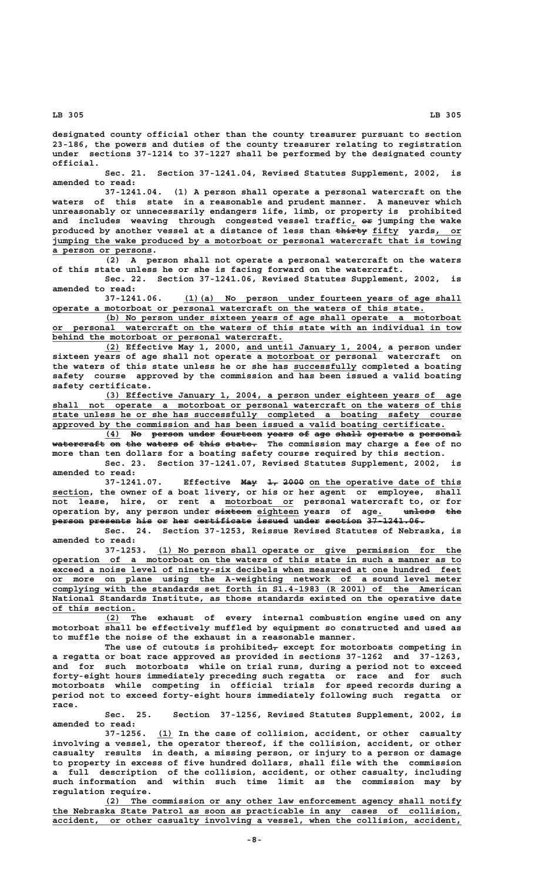**designated county official other than the county treasurer pursuant to section 23-186, the powers and duties of the county treasurer relating to registration under sections 37-1214 to 37-1227 shall be performed by the designated county official.**

**Sec. 21. Section 37-1241.04, Revised Statutes Supplement, 2002, is amended to read:**

**37-1241.04. (1) A person shall operate a personal watercraft on the waters of this state in a reasonable and prudent manner. A maneuver which unreasonably or unnecessarily endangers life, limb, or property is prohibited** and includes weaving through congested vessel traffic, or jumping the wake produced by another vessel at a distance of less than  $\frac{1}{\sqrt{2}}$  fifty yards, or  **\_\_\_\_\_\_\_\_\_\_\_\_\_\_\_\_\_\_\_\_\_\_\_\_\_\_\_\_\_\_\_\_\_\_\_\_\_\_\_\_\_\_\_\_\_\_\_\_\_\_\_\_\_\_\_\_\_\_\_\_\_\_\_\_\_\_\_\_\_\_\_\_\_\_\_\_\_\_ jumping the wake produced by a motorboat or personal watercraft that is towing \_\_\_\_\_\_\_\_\_\_\_\_\_\_\_\_\_\_\_ a person or persons.**

**(2) A person shall not operate a personal watercraft on the waters of this state unless he or she is facing forward on the watercraft.**

**Sec. 22. Section 37-1241.06, Revised Statutes Supplement, 2002, is amended to read:**

 **\_\_\_\_\_\_\_\_\_\_\_\_\_\_\_\_\_\_\_\_\_\_\_\_\_\_\_\_\_\_\_\_\_\_\_\_\_\_\_\_\_\_\_\_\_\_\_\_\_\_\_\_\_ 37-1241.06. (1)(a) No person under fourteen years of age shall \_\_\_\_\_\_\_\_\_\_\_\_\_\_\_\_\_\_\_\_\_\_\_\_\_\_\_\_\_\_\_\_\_\_\_\_\_\_\_\_\_\_\_\_\_\_\_\_\_\_\_\_\_\_\_\_\_\_\_\_\_\_\_\_\_\_\_\_\_\_\_ operate a motorboat or personal watercraft on the waters of this state.**

 **\_\_\_\_\_\_\_\_\_\_\_\_\_\_\_\_\_\_\_\_\_\_\_\_\_\_\_\_\_\_\_\_\_\_\_\_\_\_\_\_\_\_\_\_\_\_\_\_\_\_\_\_\_\_\_\_\_\_\_\_\_\_\_\_\_\_\_\_ (b) No person under sixteen years of age shall operate a motorboat \_\_\_\_\_\_\_\_\_\_\_\_\_\_\_\_\_\_\_\_\_\_\_\_\_\_\_\_\_\_\_\_\_\_\_\_\_\_\_\_\_\_\_\_\_\_\_\_\_\_\_\_\_\_\_\_\_\_\_\_\_\_\_\_\_\_\_\_\_\_\_\_\_\_\_\_\_\_ or personal watercraft on the waters of this state with an individual in tow** behind the motorboat or personal watercraft.

 **\_\_\_ \_\_\_\_\_\_\_\_\_\_\_\_\_\_\_\_\_\_\_\_\_\_\_\_\_\_ (2) Effective May 1, 2000, and until January 1, 2004, a person under \_\_\_\_\_\_\_\_\_\_\_\_ sixteen years of age shall not operate a motorboat or personal watercraft on** the waters of this state unless he or she has successfully completed a boating **safety course approved by the commission and has been issued a valid boating safety certificate.**

 **\_\_\_\_\_\_\_\_\_\_\_\_\_\_\_\_\_\_\_\_\_\_\_\_\_\_\_\_\_\_\_\_\_\_\_\_\_\_\_\_\_\_\_\_\_\_\_\_\_\_\_\_\_\_\_\_\_\_\_\_\_\_\_\_\_\_\_\_ (3) Effective January 1, 2004, a person under eighteen years of age \_\_\_\_\_\_\_\_\_\_\_\_\_\_\_\_\_\_\_\_\_\_\_\_\_\_\_\_\_\_\_\_\_\_\_\_\_\_\_\_\_\_\_\_\_\_\_\_\_\_\_\_\_\_\_\_\_\_\_\_\_\_\_\_\_\_\_\_\_\_\_\_\_\_\_\_\_\_ shall not operate a motorboat or personal watercraft on the waters of this \_\_\_\_\_\_\_\_\_\_\_\_\_\_\_\_\_\_\_\_\_\_\_\_\_\_\_\_\_\_\_\_\_\_\_\_\_\_\_\_\_\_\_\_\_\_\_\_\_\_\_\_\_\_\_\_\_\_\_\_\_\_\_\_\_\_\_\_\_\_\_\_\_\_\_\_\_\_ state unless he or she has successfully completed a boating safety course \_\_\_\_\_\_\_\_\_\_\_\_\_\_\_\_\_\_\_\_\_\_\_\_\_\_\_\_\_\_\_\_\_\_\_\_\_\_\_\_\_\_\_\_\_\_\_\_\_\_\_\_\_\_\_\_\_\_\_\_\_\_\_\_\_\_\_\_\_\_\_\_\_\_\_ approved by the commission and has been issued a valid boating certificate.**

> (4) No person under fourteen years of age shall operate a personal **watercraft on the waters of this state. The commission may charge a fee of no —————————— —— ——— —————— —— ———— ————— more than ten dollars for a boating safety course required by this section.**

> **Sec. 23. Section 37-1241.07, Revised Statutes Supplement, 2002, is amended to read:**

**37-1241.07.** Effective May 1, 2000 on the operative date of this  **\_\_\_\_\_\_\_ section, the owner of a boat livery, or his or her agent or employee, shall** not lease, hire, or rent a motorboat or personal watercraft to, or for<br>operation by, any person under <del>sixteen</del> eighteen years of age. <del>unless the</del>  **——————— \_\_\_\_\_\_\_\_ \_ —————— ——— operation by, any person under sixteen eighteen years of age. unless the person presents his or her certificate issued under section 37-1241.06. —————— ———————— ——— —— ——— ——————————— —————— ————— ——————— ———————————**

> **Sec. 24. Section 37-1253, Reissue Revised Statutes of Nebraska, is amended to read:**

> **\_\_\_\_\_\_\_\_\_\_\_\_\_\_\_\_\_\_\_\_\_\_\_\_\_\_\_\_\_\_\_\_\_\_\_\_\_\_\_\_\_\_\_\_\_\_\_\_\_\_\_\_\_\_\_\_\_\_ 37-1253. (1) No person shall operate or give permission for the \_\_\_\_\_\_\_\_\_\_\_\_\_\_\_\_\_\_\_\_\_\_\_\_\_\_\_\_\_\_\_\_\_\_\_\_\_\_\_\_\_\_\_\_\_\_\_\_\_\_\_\_\_\_\_\_\_\_\_\_\_\_\_\_\_\_\_\_\_\_\_\_\_\_\_\_\_\_ operation of a motorboat on the waters of this state in such a manner as to \_\_\_\_\_\_\_\_\_\_\_\_\_\_\_\_\_\_\_\_\_\_\_\_\_\_\_\_\_\_\_\_\_\_\_\_\_\_\_\_\_\_\_\_\_\_\_\_\_\_\_\_\_\_\_\_\_\_\_\_\_\_\_\_\_\_\_\_\_\_\_\_\_\_\_\_\_\_ exceed a noise level of ninety-six decibels when measured at one hundred feet \_\_\_\_\_\_\_\_\_\_\_\_\_\_\_\_\_\_\_\_\_\_\_\_\_\_\_\_\_\_\_\_\_\_\_\_\_\_\_\_\_\_\_\_\_\_\_\_\_\_\_\_\_\_\_\_\_\_\_\_\_\_\_\_\_\_\_\_\_\_\_\_\_\_\_\_\_\_ or more on plane using the A-weighting network of a sound level meter \_\_\_\_\_\_\_\_\_\_\_\_\_\_\_\_\_\_\_\_\_\_\_\_\_\_\_\_\_\_\_\_\_\_\_\_\_\_\_\_\_\_\_\_\_\_\_\_\_\_\_\_\_\_\_\_\_\_\_\_\_\_\_\_\_\_\_\_\_\_\_\_\_\_\_\_\_\_ complying with the standards set forth in S1.4-1983 (R 2001) of the American** National Standards Institute, as those standards existed on the operative date  **\_\_\_\_\_\_\_\_\_\_\_\_\_\_\_\_ of this section.**

> **\_\_\_ (2) The exhaust of every internal combustion engine used on any motorboat shall be effectively muffled by equipment so constructed and used as to muffle the noise of the exhaust in a reasonable manner.**

> The use of cutouts is prohibited<sub> $\tau$ </sub> except for motorboats competing in **a regatta or boat race approved as provided in sections 37-1262 and 37-1263, and for such motorboats while on trial runs, during a period not to exceed forty-eight hours immediately preceding such regatta or race and for such motorboats while competing in official trials for speed records during a period not to exceed forty-eight hours immediately following such regatta or race.**

> **Sec. 25. Section 37-1256, Revised Statutes Supplement, 2002, is amended to read:**

> **\_\_\_ 37-1256. (1) In the case of collision, accident, or other casualty involving a vessel, the operator thereof, if the collision, accident, or other casualty results in death, a missing person, or injury to a person or damage to property in excess of five hundred dollars, shall file with the commission a full description of the collision, accident, or other casualty, including such information and within such time limit as the commission may by regulation require.**

> **\_\_\_\_\_\_\_\_\_\_\_\_\_\_\_\_\_\_\_\_\_\_\_\_\_\_\_\_\_\_\_\_\_\_\_\_\_\_\_\_\_\_\_\_\_\_\_\_\_\_\_\_\_\_\_\_\_\_\_\_\_\_\_\_\_\_\_\_ (2) The commission or any other law enforcement agency shall notify \_\_\_\_\_\_\_\_\_\_\_\_\_\_\_\_\_\_\_\_\_\_\_\_\_\_\_\_\_\_\_\_\_\_\_\_\_\_\_\_\_\_\_\_\_\_\_\_\_\_\_\_\_\_\_\_\_\_\_\_\_\_\_\_\_\_\_\_\_\_\_\_\_\_\_\_\_\_ the Nebraska State Patrol as soon as practicable in any cases of collision, \_\_\_\_\_\_\_\_\_\_\_\_\_\_\_\_\_\_\_\_\_\_\_\_\_\_\_\_\_\_\_\_\_\_\_\_\_\_\_\_\_\_\_\_\_\_\_\_\_\_\_\_\_\_\_\_\_\_\_\_\_\_\_\_\_\_\_\_\_\_\_\_\_\_\_\_\_\_ accident, or other casualty involving a vessel, when the collision, accident,**